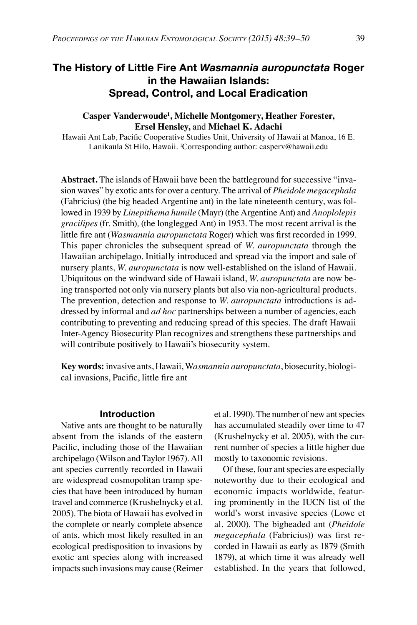# **The History of Little Fire Ant** *Wasmannia auropunctata* **Roger in the Hawaiian Islands: Spread, Control, and Local Eradication**

## **Casper Vanderwoude1 , Michelle Montgomery, Heather Forester, Ersel Hensley,** and **Michael K. Adachi**

Hawaii Ant Lab, Pacific Cooperative Studies Unit, University of Hawaii at Manoa, 16 E. Lanikaula St Hilo, Hawaii. 1 Corresponding author: casperv@hawaii.edu

**Abstract.** The islands of Hawaii have been the battleground for successive "invasion waves" by exotic ants for over a century. The arrival of *Pheidole megacephala* (Fabricius) (the big headed Argentine ant) in the late nineteenth century, was followed in 1939 by *Linepithema humile* (Mayr) (the Argentine Ant) and *Anoplolepis gracilipes* (fr. Smith)*,* (the longlegged Ant) in 1953. The most recent arrival is the little fire ant (*Wasmannia auropunctata* Roger) which was first recorded in 1999. This paper chronicles the subsequent spread of *W. auropunctata* through the Hawaiian archipelago. Initially introduced and spread via the import and sale of nursery plants, *W. auropunctata* is now well-established on the island of Hawaii. Ubiquitous on the windward side of Hawaii island, *W. auropunctata* are now being transported not only via nursery plants but also via non-agricultural products. The prevention, detection and response to *W. auropunctata* introductions is addressed by informal and *ad hoc* partnerships between a number of agencies, each contributing to preventing and reducing spread of this species. The draft Hawaii Inter-Agency Biosecurity Plan recognizes and strengthens these partnerships and will contribute positively to Hawaii's biosecurity system.

**Key words:** invasive ants, Hawaii, W*asmannia auropunctata*, biosecurity, biological invasions, Pacific, little fire ant

#### **Introduction**

Native ants are thought to be naturally absent from the islands of the eastern Pacific, including those of the Hawaiian archipelago (Wilson and Taylor 1967). All ant species currently recorded in Hawaii are widespread cosmopolitan tramp species that have been introduced by human travel and commerce (Krushelnycky et al. 2005). The biota of Hawaii has evolved in the complete or nearly complete absence of ants, which most likely resulted in an ecological predisposition to invasions by exotic ant species along with increased impacts such invasions may cause (Reimer et al. 1990). The number of new ant species has accumulated steadily over time to 47 (Krushelnycky et al. 2005), with the current number of species a little higher due mostly to taxonomic revisions.

Of these, four ant species are especially noteworthy due to their ecological and economic impacts worldwide, featuring prominently in the IUCN list of the world's worst invasive species (Lowe et al. 2000). The bigheaded ant (*Pheidole megacephala* (Fabricius)) was first recorded in Hawaii as early as 1879 (Smith 1879), at which time it was already well established. In the years that followed,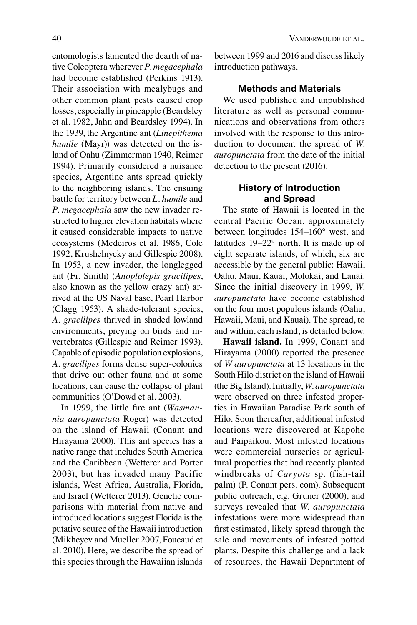**Methods and Materials**

introduction pathways.

We used published and unpublished literature as well as personal communications and observations from others involved with the response to this introduction to document the spread of *W. auropunctata* from the date of the initial detection to the present (2016).

# **History of Introduction and Spread**

The state of Hawaii is located in the central Pacific Ocean, approximately between longitudes 154–160° west, and latitudes 19–22° north. It is made up of eight separate islands, of which, six are accessible by the general public: Hawaii, Oahu, Maui, Kauai, Molokai, and Lanai. Since the initial discovery in 1999, *W. auropunctata* have become established on the four most populous islands (Oahu, Hawaii, Maui, and Kauai). The spread, to and within, each island, is detailed below.

**Hawaii island.** In 1999, Conant and Hirayama (2000) reported the presence of *W auropunctata* at 13 locations in the South Hilo district on the island of Hawaii (the Big Island). Initially, *W. auropunctata* were observed on three infested properties in Hawaiian Paradise Park south of Hilo. Soon thereafter, additional infested locations were discovered at Kapoho and Paipaikou. Most infested locations were commercial nurseries or agricultural properties that had recently planted windbreaks of *Caryota* sp. (fish-tail palm) (P. Conant pers. com). Subsequent public outreach, e.g. Gruner (2000), and surveys revealed that *W. auropunctata* infestations were more widespread than first estimated, likely spread through the sale and movements of infested potted plants. Despite this challenge and a lack of resources, the Hawaii Department of

entomologists lamented the dearth of native Coleoptera wherever *P. megacephala* had become established (Perkins 1913). Their association with mealybugs and other common plant pests caused crop losses, especially in pineapple (Beardsley et al. 1982, Jahn and Beardsley 1994). In the 1939, the Argentine ant (*Linepithema humile* (Mayr)) was detected on the island of Oahu (Zimmerman 1940, Reimer 1994). Primarily considered a nuisance species, Argentine ants spread quickly to the neighboring islands. The ensuing battle for territory between *L. humile* and *P. megacephala* saw the new invader restricted to higher elevation habitats where it caused considerable impacts to native ecosystems (Medeiros et al. 1986, Cole 1992, Krushelnycky and Gillespie 2008). In 1953, a new invader, the longlegged ant (Fr. Smith) (*Anoplolepis gracilipes*, also known as the yellow crazy ant) arrived at the US Naval base, Pearl Harbor (Clagg 1953). A shade-tolerant species, *A. gracilipes* thrived in shaded lowland environments, preying on birds and invertebrates (Gillespie and Reimer 1993). Capable of episodic population explosions, *A. gracilipes* forms dense super-colonies that drive out other fauna and at some locations, can cause the collapse of plant communities (O'Dowd et al. 2003).

In 1999, the little fire ant (*Wasmannia auropunctata* Roger) was detected on the island of Hawaii (Conant and Hirayama 2000). This ant species has a native range that includes South America and the Caribbean (Wetterer and Porter 2003), but has invaded many Pacific islands, West Africa, Australia, Florida, and Israel (Wetterer 2013). Genetic comparisons with material from native and introduced locations suggest Florida is the putative source of the Hawaii introduction (Mikheyev and Mueller 2007, Foucaud et al. 2010). Here, we describe the spread of this species through the Hawaiian islands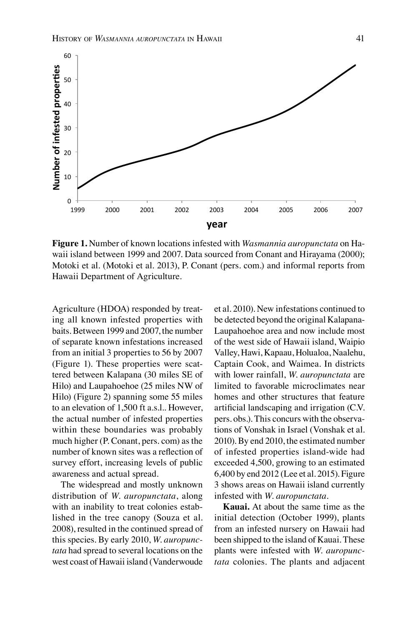

**Figure 1.** Number of known locations infested with *Wasmannia auropunctata* on Hawaii island between 1999 and 2007. Data sourced from Conant and Hirayama (2000); Motoki et al. (Motoki et al. 2013), P. Conant (pers. com.) and informal reports from Hawaii Department of Agriculture.

Agriculture (HDOA) responded by treating all known infested properties with baits. Between 1999 and 2007, the number of separate known infestations increased from an initial 3 properties to 56 by 2007 (Figure 1). These properties were scattered between Kalapana (30 miles SE of Hilo) and Laupahoehoe (25 miles NW of Hilo) (Figure 2) spanning some 55 miles to an elevation of 1,500 ft a.s.l.. However, the actual number of infested properties within these boundaries was probably much higher (P. Conant, pers. com) as the number of known sites was a reflection of survey effort, increasing levels of public awareness and actual spread.

The widespread and mostly unknown distribution of *W. auropunctata*, along with an inability to treat colonies established in the tree canopy (Souza et al. 2008), resulted in the continued spread of this species. By early 2010, *W. auropunctata* had spread to several locations on the west coast of Hawaii island (Vanderwoude

et al. 2010). New infestations continued to be detected beyond the original Kalapana-Laupahoehoe area and now include most of the west side of Hawaii island, Waipio Valley, Hawi, Kapaau, Holualoa, Naalehu, Captain Cook, and Waimea. In districts with lower rainfall, *W. auropunctata* are limited to favorable microclimates near homes and other structures that feature artificial landscaping and irrigation (C.V. pers. obs.). This concurs with the observations of Vonshak in Israel (Vonshak et al. 2010). By end 2010, the estimated number of infested properties island-wide had exceeded 4,500, growing to an estimated 6,400 by end 2012 (Lee et al. 2015). Figure 3 shows areas on Hawaii island currently infested with *W. auropunctata*.

**Kauai.** At about the same time as the initial detection (October 1999), plants from an infested nursery on Hawaii had been shipped to the island of Kauai. These plants were infested with *W. auropunctata* colonies. The plants and adjacent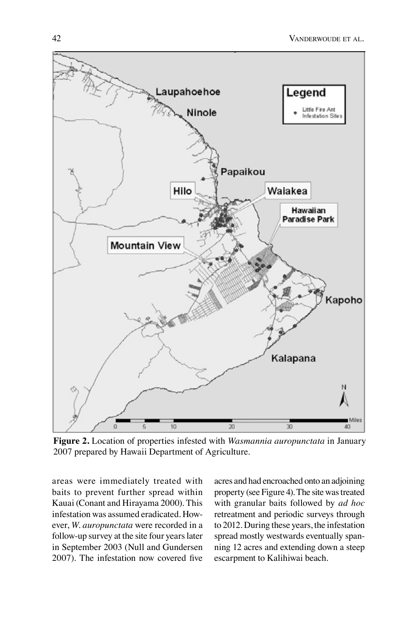

**Figure 2.** Location of properties infested with *Wasmannia auropunctata* in January 2007 prepared by Hawaii Department of Agriculture.

areas were immediately treated with baits to prevent further spread within Kauai (Conant and Hirayama 2000). This infestation was assumed eradicated. However, *W. auropunctata* were recorded in a follow-up survey at the site four years later in September 2003 (Null and Gundersen 2007). The infestation now covered five

acres and had encroached onto an adjoining property (see Figure 4). The site was treated with granular baits followed by *ad hoc* retreatment and periodic surveys through to 2012. During these years, the infestation spread mostly westwards eventually spanning 12 acres and extending down a steep escarpment to Kalihiwai beach.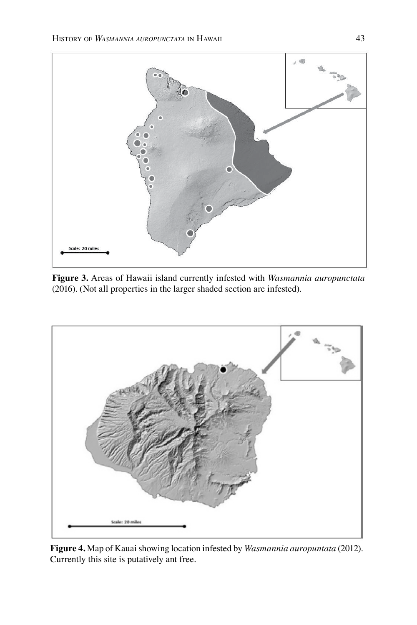

**Figure 3.** Areas of Hawaii island currently infested with *Wasmannia auropunctata* (2016). (Not all properties in the larger shaded section are infested).



**Figure 4.** Map of Kauai showing location infested by *Wasmannia auropuntata* (2012). Currently this site is putatively ant free.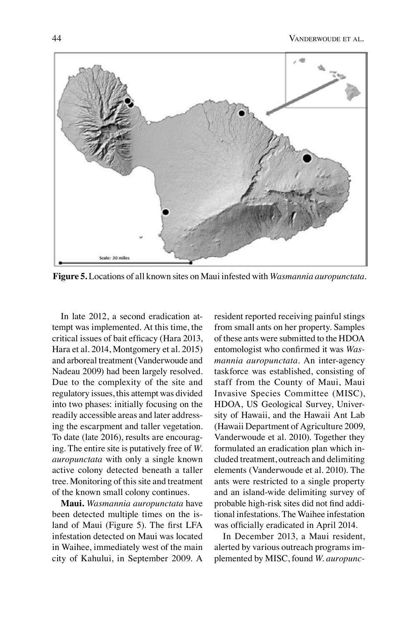

**Figure 5.** Locations of all known sites on Maui infested with *Wasmannia auropunctata*.

In late 2012, a second eradication attempt was implemented. At this time, the critical issues of bait efficacy (Hara 2013, Hara et al. 2014, Montgomery et al. 2015) and arboreal treatment (Vanderwoude and Nadeau 2009) had been largely resolved. Due to the complexity of the site and regulatory issues, this attempt was divided into two phases: initially focusing on the readily accessible areas and later addressing the escarpment and taller vegetation. To date (late 2016), results are encouraging. The entire site is putatively free of *W. auropunctata* with only a single known active colony detected beneath a taller tree. Monitoring of this site and treatment of the known small colony continues.

**Maui.** *Wasmannia auropunctata* have been detected multiple times on the island of Maui (Figure 5). The first LFA infestation detected on Maui was located in Waihee, immediately west of the main city of Kahului, in September 2009. A resident reported receiving painful stings from small ants on her property. Samples of these ants were submitted to the HDOA entomologist who confirmed it was *Wasmannia auropunctata*. An inter-agency taskforce was established, consisting of staff from the County of Maui, Maui Invasive Species Committee (MISC), HDOA, US Geological Survey, University of Hawaii, and the Hawaii Ant Lab (Hawaii Department of Agriculture 2009, Vanderwoude et al. 2010). Together they formulated an eradication plan which included treatment, outreach and delimiting elements (Vanderwoude et al. 2010). The ants were restricted to a single property and an island-wide delimiting survey of probable high-risk sites did not find additional infestations. The Waihee infestation was officially eradicated in April 2014.

In December 2013, a Maui resident, alerted by various outreach programs implemented by MISC, found *W. auropunc-*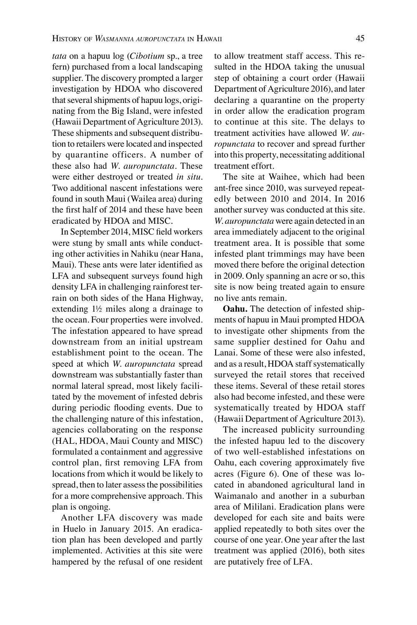*tata* on a hapuu log (*Cibotium* sp., a tree fern) purchased from a local landscaping supplier. The discovery prompted a larger investigation by HDOA who discovered that several shipments of hapuu logs, originating from the Big Island, were infested (Hawaii Department of Agriculture 2013). These shipments and subsequent distribution to retailers were located and inspected by quarantine officers. A number of these also had *W. auropunctata*. These were either destroyed or treated *in situ*. Two additional nascent infestations were found in south Maui (Wailea area) during the first half of 2014 and these have been eradicated by HDOA and MISC.

In September 2014, MISC field workers were stung by small ants while conducting other activities in Nahiku (near Hana, Maui). These ants were later identified as LFA and subsequent surveys found high density LFA in challenging rainforest terrain on both sides of the Hana Highway, extending 1½ miles along a drainage to the ocean. Four properties were involved. The infestation appeared to have spread downstream from an initial upstream establishment point to the ocean. The speed at which *W. auropunctata* spread downstream was substantially faster than normal lateral spread, most likely facilitated by the movement of infested debris during periodic flooding events. Due to the challenging nature of this infestation, agencies collaborating on the response (HAL, HDOA, Maui County and MISC) formulated a containment and aggressive control plan, first removing LFA from locations from which it would be likely to spread, then to later assess the possibilities for a more comprehensive approach. This plan is ongoing.

Another LFA discovery was made in Huelo in January 2015. An eradication plan has been developed and partly implemented. Activities at this site were hampered by the refusal of one resident

to allow treatment staff access. This resulted in the HDOA taking the unusual step of obtaining a court order (Hawaii Department of Agriculture 2016), and later declaring a quarantine on the property in order allow the eradication program to continue at this site. The delays to treatment activities have allowed *W. auropunctata* to recover and spread further into this property, necessitating additional treatment effort.

The site at Waihee, which had been ant-free since 2010, was surveyed repeatedly between 2010 and 2014. In 2016 another survey was conducted at this site. *W. auropunctata* were again detected in an area immediately adjacent to the original treatment area. It is possible that some infested plant trimmings may have been moved there before the original detection in 2009. Only spanning an acre or so, this site is now being treated again to ensure no live ants remain.

**Oahu.** The detection of infested shipments of hapuu in Maui prompted HDOA to investigate other shipments from the same supplier destined for Oahu and Lanai. Some of these were also infested, and as a result, HDOA staff systematically surveyed the retail stores that received these items. Several of these retail stores also had become infested, and these were systematically treated by HDOA staff (Hawaii Department of Agriculture 2013).

The increased publicity surrounding the infested hapuu led to the discovery of two well-established infestations on Oahu, each covering approximately five acres (Figure 6). One of these was located in abandoned agricultural land in Waimanalo and another in a suburban area of Mililani. Eradication plans were developed for each site and baits were applied repeatedly to both sites over the course of one year. One year after the last treatment was applied (2016), both sites are putatively free of LFA.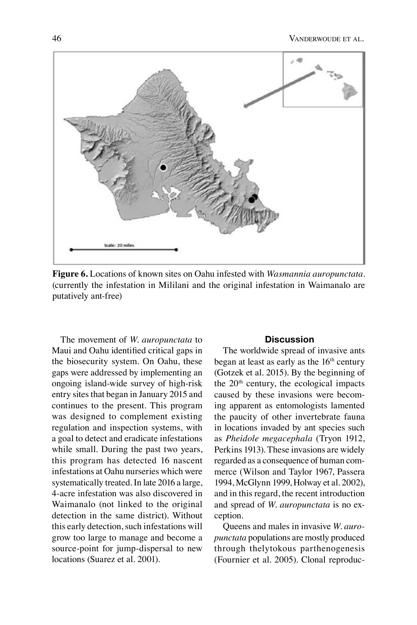

**Figure 6.** Locations of known sites on Oahu infested with *Wasmannia auropunctata*. (currently the infestation in Mililani and the original infestation in Waimanalo are putatively ant-free)

The movement of *W. auropunctata* to Maui and Oahu identified critical gaps in the biosecurity system. On Oahu, these gaps were addressed by implementing an ongoing island-wide survey of high-risk entry sites that began in January 2015 and continues to the present. This program was designed to complement existing regulation and inspection systems, with a goal to detect and eradicate infestations while small. During the past two years, this program has detected 16 nascent infestations at Oahu nurseries which were systematically treated. In late 2016 a large, 4-acre infestation was also discovered in Waimanalo (not linked to the original detection in the same district). Without this early detection, such infestations will grow too large to manage and become a source-point for jump-dispersal to new locations (Suarez et al. 2001).

### **Discussion**

The worldwide spread of invasive ants began at least as early as the 16<sup>th</sup> century (Gotzek et al. 2015). By the beginning of the 20th century, the ecological impacts caused by these invasions were becoming apparent as entomologists lamented the paucity of other invertebrate fauna in locations invaded by ant species such as *Pheidole megacephala* (Tryon 1912, Perkins 1913). These invasions are widely regarded as a consequence of human commerce (Wilson and Taylor 1967, Passera 1994, McGlynn 1999, Holway et al. 2002), and in this regard, the recent introduction and spread of *W. auropunctata* is no exception.

Queens and males in invasive *W. auropunctata* populations are mostly produced through thelytokous parthenogenesis (Fournier et al. 2005). Clonal reproduc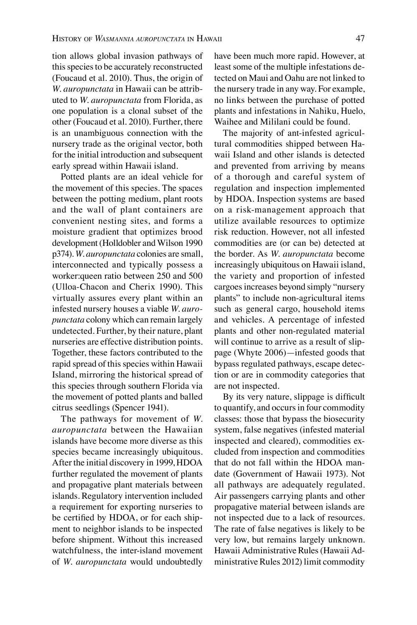tion allows global invasion pathways of this species to be accurately reconstructed (Foucaud et al. 2010). Thus, the origin of *W. auropunctata* in Hawaii can be attributed to *W. auropunctata* from Florida, as one population is a clonal subset of the other (Foucaud et al. 2010). Further, there is an unambiguous connection with the nursery trade as the original vector, both for the initial introduction and subsequent early spread within Hawaii island.

Potted plants are an ideal vehicle for the movement of this species. The spaces between the potting medium, plant roots and the wall of plant containers are convenient nesting sites, and forms a moisture gradient that optimizes brood development (Holldobler and Wilson 1990 p374). *W. auropunctata* colonies are small, interconnected and typically possess a worker:queen ratio between 250 and 500 (Ulloa-Chacon and Cherix 1990). This virtually assures every plant within an infested nursery houses a viable *W. auropunctata* colony which can remain largely undetected. Further, by their nature, plant nurseries are effective distribution points. Together, these factors contributed to the rapid spread of this species within Hawaii Island, mirroring the historical spread of this species through southern Florida via the movement of potted plants and balled citrus seedlings (Spencer 1941).

The pathways for movement of *W. auropunctata* between the Hawaiian islands have become more diverse as this species became increasingly ubiquitous. After the initial discovery in 1999, HDOA further regulated the movement of plants and propagative plant materials between islands. Regulatory intervention included a requirement for exporting nurseries to be certified by HDOA, or for each shipment to neighbor islands to be inspected before shipment. Without this increased watchfulness, the inter-island movement of *W. auropunctata* would undoubtedly have been much more rapid. However, at least some of the multiple infestations detected on Maui and Oahu are not linked to the nursery trade in any way. For example, no links between the purchase of potted plants and infestations in Nahiku, Huelo, Waihee and Mililani could be found.

The majority of ant-infested agricultural commodities shipped between Hawaii Island and other islands is detected and prevented from arriving by means of a thorough and careful system of regulation and inspection implemented by HDOA. Inspection systems are based on a risk-management approach that utilize available resources to optimize risk reduction. However, not all infested commodities are (or can be) detected at the border. As *W. auropunctata* become increasingly ubiquitous on Hawaii island, the variety and proportion of infested cargoes increases beyond simply "nursery plants" to include non-agricultural items such as general cargo, household items and vehicles. A percentage of infested plants and other non-regulated material will continue to arrive as a result of slippage (Whyte 2006)—infested goods that bypass regulated pathways, escape detection or are in commodity categories that are not inspected.

By its very nature, slippage is difficult to quantify, and occurs in four commodity classes: those that bypass the biosecurity system, false negatives (infested material inspected and cleared), commodities excluded from inspection and commodities that do not fall within the HDOA mandate (Government of Hawaii 1973). Not all pathways are adequately regulated. Air passengers carrying plants and other propagative material between islands are not inspected due to a lack of resources. The rate of false negatives is likely to be very low, but remains largely unknown. Hawaii Administrative Rules (Hawaii Administrative Rules 2012) limit commodity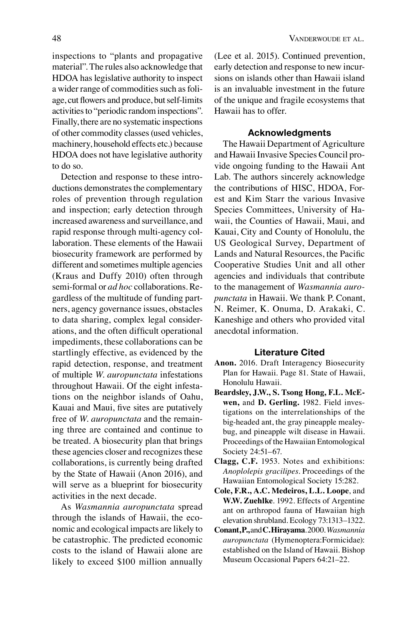inspections to "plants and propagative material". The rules also acknowledge that HDOA has legislative authority to inspect a wider range of commodities such as foliage, cut flowers and produce, but self-limits activities to "periodic random inspections". Finally, there are no systematic inspections of other commodity classes (used vehicles, machinery, household effects etc.) because HDOA does not have legislative authority to do so.

Detection and response to these introductions demonstrates the complementary roles of prevention through regulation and inspection; early detection through increased awareness and surveillance, and rapid response through multi-agency collaboration. These elements of the Hawaii biosecurity framework are performed by different and sometimes multiple agencies (Kraus and Duffy 2010) often through semi-formal or *ad hoc* collaborations. Regardless of the multitude of funding partners, agency governance issues, obstacles to data sharing, complex legal considerations, and the often difficult operational impediments, these collaborations can be startlingly effective, as evidenced by the rapid detection, response, and treatment of multiple *W. auropunctata* infestations throughout Hawaii. Of the eight infestations on the neighbor islands of Oahu, Kauai and Maui, five sites are putatively free of *W. auropunctata* and the remaining three are contained and continue to be treated. A biosecurity plan that brings these agencies closer and recognizes these collaborations, is currently being drafted by the State of Hawaii (Anon 2016), and will serve as a blueprint for biosecurity activities in the next decade.

As *Wasmannia auropunctata* spread through the islands of Hawaii, the economic and ecological impacts are likely to be catastrophic. The predicted economic costs to the island of Hawaii alone are likely to exceed \$100 million annually

(Lee et al. 2015). Continued prevention, early detection and response to new incursions on islands other than Hawaii island is an invaluable investment in the future of the unique and fragile ecosystems that Hawaii has to offer.

### **Acknowledgments**

The Hawaii Department of Agriculture and Hawaii Invasive Species Council provide ongoing funding to the Hawaii Ant Lab. The authors sincerely acknowledge the contributions of HISC, HDOA, Forest and Kim Starr the various Invasive Species Committees, University of Hawaii, the Counties of Hawaii, Maui, and Kauai, City and County of Honolulu, the US Geological Survey, Department of Lands and Natural Resources, the Pacific Cooperative Studies Unit and all other agencies and individuals that contribute to the management of *Wasmannia auropunctata* in Hawaii. We thank P. Conant, N. Reimer, K. Onuma, D. Arakaki, C. Kaneshige and others who provided vital anecdotal information.

#### **Literature Cited**

- **Anon.** 2016. Draft Interagency Biosecurity Plan for Hawaii. Page 81. State of Hawaii, Honolulu Hawaii.
- **Beardsley, J.W., S. Tsong Hong, F.L. McEwen,** and **D. Gerling.** 1982. Field investigations on the interrelationships of the big-headed ant, the gray pineapple mealeybug, and pineapple wilt disease in Hawaii. Proceedings of the Hawaiian Entomological Society 24:51–67.
- **Clagg, C.F.** 1953. Notes and exhibitions: *Anoplolepis gracilipes*. Proceedings of the Hawaiian Entomological Society 15:282.
- **Cole, F.R., A.C. Medeiros, L.L. Loope**, and **W.W. Zuehlke**. 1992. Effects of Argentine ant on arthropod fauna of Hawaiian high elevation shrubland. Ecology 73:1313–1322.
- **Conant, P.,** and **C. Hirayama**. 2000. *Wasmannia auropunctata* (Hymenoptera:Formicidae): established on the Island of Hawaii. Bishop Museum Occasional Papers 64:21–22.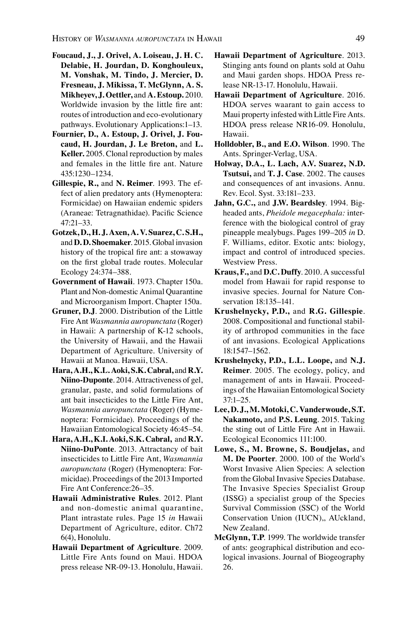- **Foucaud, J., J. Orivel, A. Loiseau, J. H. C. Delabie, H. Jourdan, D. Konghouleux, M. Vonshak, M. Tindo, J. Mercier, D. Fresneau, J. Mikissa, T. McGlynn, A. S. Mikheyev, J. Oettler,** and **A. Estoup.** 2010. Worldwide invasion by the little fire ant: routes of introduction and eco-evolutionary pathways. Evolutionary Applications:1–13.
- **Fournier, D., A. Estoup, J. Orivel, J. Foucaud, H. Jourdan, J. Le Breton,** and **L. Keller.** 2005. Clonal reproduction by males and females in the little fire ant. Nature 435:1230–1234.
- **Gillespie, R.,** and **N. Reimer**. 1993. The effect of alien predatory ants (Hymenoptera: Formicidae) on Hawaiian endemic spiders (Araneae: Tetragnathidae). Pacific Science 47:21–33.
- **Gotzek, D., H. J. Axen, A. V. Suarez, C. S.H.,**  and **D. D. Shoemaker**. 2015. Global invasion history of the tropical fire ant: a stowaway on the first global trade routes. Molecular Ecology 24:374–388.
- **Government of Hawaii**. 1973. Chapter 150a. Plant and Non-domestic Animal Quarantine and Microorganism Import. Chapter 150a.
- **Gruner, D.J**. 2000. Distribution of the Little Fire Ant *Wasmannia auropunctata* (Roger) in Hawaii: A partnership of K-12 schools, the University of Hawaii, and the Hawaii Department of Agriculture. University of Hawaii at Manoa. Hawaii, USA.
- **Hara, A.H., K.L. Aoki, S.K. Cabral,** and **R.Y. Niino-Duponte**. 2014. Attractiveness of gel, granular, paste, and solid formulations of ant bait insecticides to the Little Fire Ant, *Wasmannia auropunctata* (Roger) (Hymenoptera: Formicidae). Proceedings of the Hawaiian Entomological Society 46:45–54.
- **Hara, A.H., K.I. Aoki, S.K. Cabral,** and **R.Y. Niino-DuPonte**. 2013. Attractancy of bait insecticides to Little Fire Ant, *Wasmannia auropunctata* (Roger) (Hymenoptera: Formicidae). Proceedings of the 2013 Imported Fire Ant Conference:26–35.
- **Hawaii Administrative Rules**. 2012. Plant and non-domestic animal quarantine, Plant intrastate rules. Page 15 *in* Hawaii Department of Agriculture, editor. Ch72 6(4), Honolulu.
- **Hawaii Department of Agriculture**. 2009. Little Fire Ants found on Maui. HDOA press release NR-09-13. Honolulu, Hawaii.
- **Hawaii Department of Agriculture**. 2013. Stinging ants found on plants sold at Oahu and Maui garden shops. HDOA Press release NR-13-17. Honolulu, Hawaii.
- **Hawaii Department of Agriculture**. 2016. HDOA serves waarant to gain access to Maui property infested with Little Fire Ants. HDOA press release NR16-09. Honolulu, Hawaii.
- **Holldobler, B., and E.O. Wilson**. 1990. The Ants. Springer-Verlag, USA.
- **Holway, D.A., L. Lach, A.V. Suarez, N.D. Tsutsui,** and **T. J. Case**. 2002. The causes and consequences of ant invasions. Annu. Rev. Ecol. Syst. 33:181–233.
- **Jahn, G.C.,** and **J.W. Beardsley**. 1994. Bigheaded ants, *Pheidole megacephala:* interference with the biological control of gray pineapple mealybugs. Pages 199–205 *in* D. F. Williams, editor. Exotic ants: biology, impact and control of introduced species. Westview Press.
- **Kraus, F.,** and **D.C. Duffy**. 2010. A successful model from Hawaii for rapid response to invasive species. Journal for Nature Conservation 18:135–141.
- **Krushelnycky, P.D.,** and **R.G. Gillespie**. 2008. Compositional and functional stability of arthropod communities in the face of ant invasions. Ecological Applications 18:1547–1562.
- **Krushelnycky, P.D., L.L. Loope,** and **N.J. Reimer**. 2005. The ecology, policy, and management of ants in Hawaii. Proceedings of the Hawaiian Entomological Society 37:1–25.
- **Lee, D. J., M. Motoki, C. Vanderwoude, S.T. Nakamoto,** and **P.S. Leung**. 2015. Taking the sting out of Little Fire Ant in Hawaii. Ecological Economics 111:100.
- **Lowe, S., M. Browne, S. Boudjelas,** and **M. De Poorter**. 2000. 100 of the World's Worst Invasive Alien Species: A selection from the Global Invasive Species Database. The Invasive Species Specialist Group (ISSG) a specialist group of the Species Survival Commission (SSC) of the World Conservation Union (IUCN),, AUckland, New Zealand.
- **McGlynn, T.P**. 1999. The worldwide transfer of ants: geographical distribution and ecological invasions. Journal of Biogeography 26.